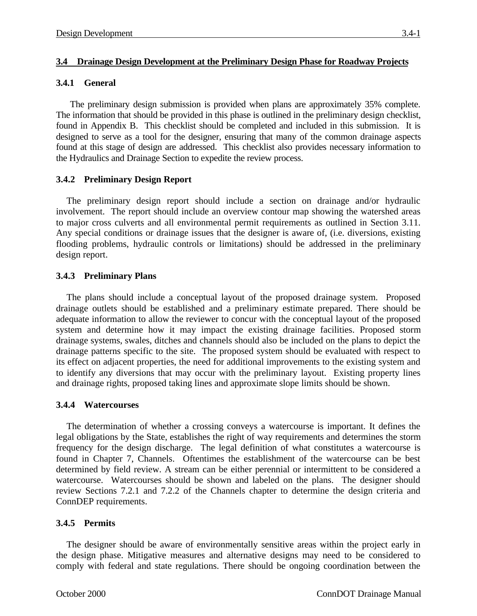#### **3.4 Drainage Design Development at the Preliminary Design Phase for Roadway Projects**

#### **3.4.1 General**

The preliminary design submission is provided when plans are approximately 35% complete. The information that should be provided in this phase is outlined in the preliminary design checklist, found in Appendix B. This checklist should be completed and included in this submission. It is designed to serve as a tool for the designer, ensuring that many of the common drainage aspects found at this stage of design are addressed. This checklist also provides necessary information to the Hydraulics and Drainage Section to expedite the review process.

# **3.4.2 Preliminary Design Report**

The preliminary design report should include a section on drainage and/or hydraulic involvement. The report should include an overview contour map showing the watershed areas to major cross culverts and all environmental permit requirements as outlined in Section 3.11. Any special conditions or drainage issues that the designer is aware of, (i.e. diversions, existing flooding problems, hydraulic controls or limitations) should be addressed in the preliminary design report.

# **3.4.3 Preliminary Plans**

The plans should include a conceptual layout of the proposed drainage system. Proposed drainage outlets should be established and a preliminary estimate prepared. There should be adequate information to allow the reviewer to concur with the conceptual layout of the proposed system and determine how it may impact the existing drainage facilities. Proposed storm drainage systems, swales, ditches and channels should also be included on the plans to depict the drainage patterns specific to the site. The proposed system should be evaluated with respect to its effect on adjacent properties, the need for additional improvements to the existing system and to identify any diversions that may occur with the preliminary layout. Existing property lines and drainage rights, proposed taking lines and approximate slope limits should be shown.

# **3.4.4 Watercourses**

The determination of whether a crossing conveys a watercourse is important. It defines the legal obligations by the State, establishes the right of way requirements and determines the storm frequency for the design discharge. The legal definition of what constitutes a watercourse is found in Chapter 7, Channels. Oftentimes the establishment of the watercourse can be best determined by field review. A stream can be either perennial or intermittent to be considered a watercourse. Watercourses should be shown and labeled on the plans. The designer should review Sections 7.2.1 and 7.2.2 of the Channels chapter to determine the design criteria and ConnDEP requirements.

# **3.4.5 Permits**

The designer should be aware of environmentally sensitive areas within the project early in the design phase. Mitigative measures and alternative designs may need to be considered to comply with federal and state regulations. There should be ongoing coordination between the